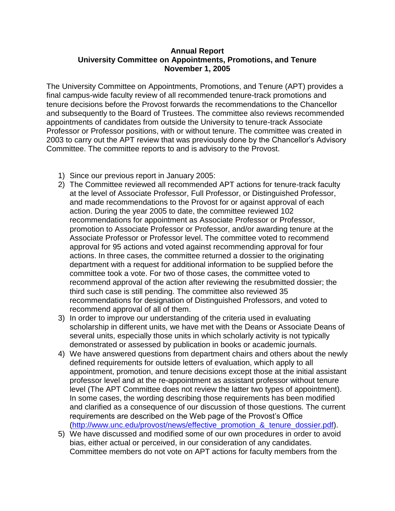## **Annual Report University Committee on Appointments, Promotions, and Tenure November 1, 2005**

The University Committee on Appointments, Promotions, and Tenure (APT) provides a final campus-wide faculty review of all recommended tenure-track promotions and tenure decisions before the Provost forwards the recommendations to the Chancellor and subsequently to the Board of Trustees. The committee also reviews recommended appointments of candidates from outside the University to tenure-track Associate Professor or Professor positions, with or without tenure. The committee was created in 2003 to carry out the APT review that was previously done by the Chancellor's Advisory Committee. The committee reports to and is advisory to the Provost.

- 1) Since our previous report in January 2005:
- 2) The Committee reviewed all recommended APT actions for tenure-track faculty at the level of Associate Professor, Full Professor, or Distinguished Professor, and made recommendations to the Provost for or against approval of each action. During the year 2005 to date, the committee reviewed 102 recommendations for appointment as Associate Professor or Professor, promotion to Associate Professor or Professor, and/or awarding tenure at the Associate Professor or Professor level. The committee voted to recommend approval for 95 actions and voted against recommending approval for four actions. In three cases, the committee returned a dossier to the originating department with a request for additional information to be supplied before the committee took a vote. For two of those cases, the committee voted to recommend approval of the action after reviewing the resubmitted dossier; the third such case is still pending. The committee also reviewed 35 recommendations for designation of Distinguished Professors, and voted to recommend approval of all of them.
- 3) In order to improve our understanding of the criteria used in evaluating scholarship in different units, we have met with the Deans or Associate Deans of several units, especially those units in which scholarly activity is not typically demonstrated or assessed by publication in books or academic journals.
- 4) We have answered questions from department chairs and others about the newly defined requirements for outside letters of evaluation, which apply to all appointment, promotion, and tenure decisions except those at the initial assistant professor level and at the re-appointment as assistant professor without tenure level (The APT Committee does not review the latter two types of appointment). In some cases, the wording describing those requirements has been modified and clarified as a consequence of our discussion of those questions. The current requirements are described on the Web page of the Provost's Office [\(http://www.unc.edu/provost/news/effective\\_promotion\\_&\\_tenure\\_dossier.pdf\)](http://www.unc.edu/provost/news/effective_promotion_&_tenure_dossier.pdf).
- 5) We have discussed and modified some of our own procedures in order to avoid bias, either actual or perceived, in our consideration of any candidates. Committee members do not vote on APT actions for faculty members from the